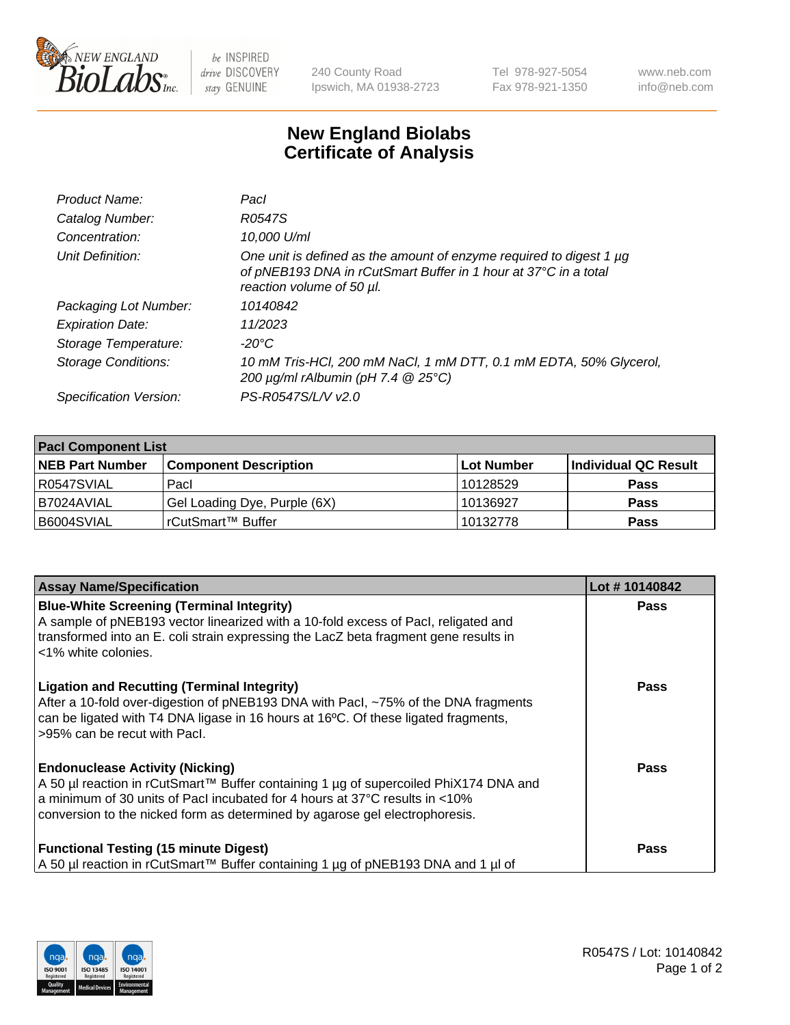

 $be$  INSPIRED drive DISCOVERY stay GENUINE

240 County Road Ipswich, MA 01938-2723 Tel 978-927-5054 Fax 978-921-1350 www.neb.com info@neb.com

## **New England Biolabs Certificate of Analysis**

| Product Name:           | Pacl                                                                                                                                                                |
|-------------------------|---------------------------------------------------------------------------------------------------------------------------------------------------------------------|
| Catalog Number:         | R0547S                                                                                                                                                              |
| Concentration:          | 10,000 U/ml                                                                                                                                                         |
| Unit Definition:        | One unit is defined as the amount of enzyme required to digest 1 µg<br>of pNEB193 DNA in rCutSmart Buffer in 1 hour at 37°C in a total<br>reaction volume of 50 µl. |
| Packaging Lot Number:   | 10140842                                                                                                                                                            |
| <b>Expiration Date:</b> | 11/2023                                                                                                                                                             |
| Storage Temperature:    | -20°C                                                                                                                                                               |
| Storage Conditions:     | 10 mM Tris-HCl, 200 mM NaCl, 1 mM DTT, 0.1 mM EDTA, 50% Glycerol,<br>200 $\mu$ g/ml rAlbumin (pH 7.4 $@$ 25°C)                                                      |
| Specification Version:  | PS-R0547S/L/V v2.0                                                                                                                                                  |
|                         |                                                                                                                                                                     |

| <b>Pacl Component List</b> |                              |            |                      |  |  |
|----------------------------|------------------------------|------------|----------------------|--|--|
| <b>NEB Part Number</b>     | <b>Component Description</b> | Lot Number | Individual QC Result |  |  |
| R0547SVIAL                 | Pacl                         | 10128529   | <b>Pass</b>          |  |  |
| I B7024AVIAL               | Gel Loading Dye, Purple (6X) | 10136927   | <b>Pass</b>          |  |  |
| B6004SVIAL                 | rCutSmart™ Buffer            | 10132778   | <b>Pass</b>          |  |  |

| <b>Assay Name/Specification</b>                                                                                                                                                                                                                                                              | Lot #10140842 |
|----------------------------------------------------------------------------------------------------------------------------------------------------------------------------------------------------------------------------------------------------------------------------------------------|---------------|
| <b>Blue-White Screening (Terminal Integrity)</b><br>A sample of pNEB193 vector linearized with a 10-fold excess of Pacl, religated and<br>transformed into an E. coli strain expressing the LacZ beta fragment gene results in<br><1% white colonies.                                        | <b>Pass</b>   |
| <b>Ligation and Recutting (Terminal Integrity)</b><br>After a 10-fold over-digestion of pNEB193 DNA with Pacl, ~75% of the DNA fragments<br>can be ligated with T4 DNA ligase in 16 hours at 16°C. Of these ligated fragments,<br>>95% can be recut with Pacl.                               | <b>Pass</b>   |
| <b>Endonuclease Activity (Nicking)</b><br>A 50 µl reaction in rCutSmart™ Buffer containing 1 µg of supercoiled PhiX174 DNA and<br>a minimum of 30 units of Pacl incubated for 4 hours at 37°C results in <10%<br>conversion to the nicked form as determined by agarose gel electrophoresis. | Pass          |
| <b>Functional Testing (15 minute Digest)</b><br>A 50 µl reaction in rCutSmart™ Buffer containing 1 µg of pNEB193 DNA and 1 µl of                                                                                                                                                             | Pass          |